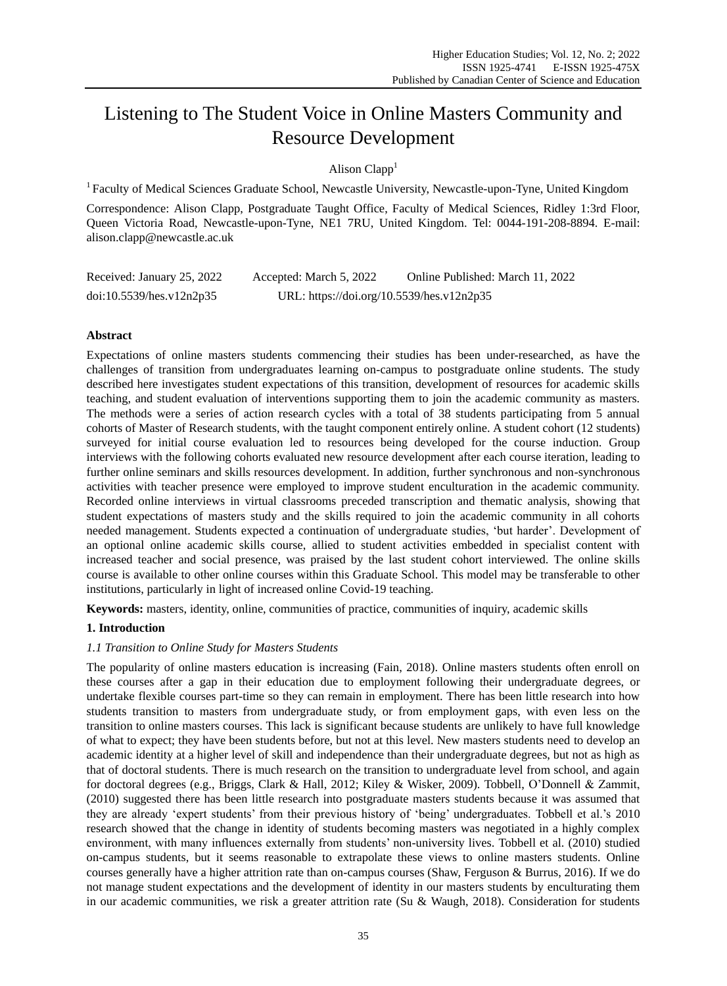# Listening to The Student Voice in Online Masters Community and Resource Development

Alison  $Clann<sup>1</sup>$ 

<sup>1</sup> Faculty of Medical Sciences Graduate School, Newcastle University, Newcastle-upon-Tyne, United Kingdom

Correspondence: Alison Clapp, Postgraduate Taught Office, Faculty of Medical Sciences, Ridley 1:3rd Floor, Queen Victoria Road, Newcastle-upon-Tyne, NE1 7RU, United Kingdom. Tel: 0044-191-208-8894. E-mail: alison.clapp@newcastle.ac.uk

| Received: January 25, 2022 | Accepted: March 5, 2022                   | Online Published: March 11, 2022 |
|----------------------------|-------------------------------------------|----------------------------------|
| doi:10.5539/hes.v12n2p35   | URL: https://doi.org/10.5539/hes.v12n2p35 |                                  |

# **Abstract**

Expectations of online masters students commencing their studies has been under-researched, as have the challenges of transition from undergraduates learning on-campus to postgraduate online students. The study described here investigates student expectations of this transition, development of resources for academic skills teaching, and student evaluation of interventions supporting them to join the academic community as masters. The methods were a series of action research cycles with a total of 38 students participating from 5 annual cohorts of Master of Research students, with the taught component entirely online. A student cohort (12 students) surveyed for initial course evaluation led to resources being developed for the course induction. Group interviews with the following cohorts evaluated new resource development after each course iteration, leading to further online seminars and skills resources development. In addition, further synchronous and non-synchronous activities with teacher presence were employed to improve student enculturation in the academic community. Recorded online interviews in virtual classrooms preceded transcription and thematic analysis, showing that student expectations of masters study and the skills required to join the academic community in all cohorts needed management. Students expected a continuation of undergraduate studies, "but harder". Development of an optional online academic skills course, allied to student activities embedded in specialist content with increased teacher and social presence, was praised by the last student cohort interviewed. The online skills course is available to other online courses within this Graduate School. This model may be transferable to other institutions, particularly in light of increased online Covid-19 teaching.

**Keywords:** masters, identity, online, communities of practice, communities of inquiry, academic skills

## **1. Introduction**

## *1.1 Transition to Online Study for Masters Students*

The popularity of online masters education is increasing (Fain, 2018). Online masters students often enroll on these courses after a gap in their education due to employment following their undergraduate degrees, or undertake flexible courses part-time so they can remain in employment. There has been little research into how students transition to masters from undergraduate study, or from employment gaps, with even less on the transition to online masters courses. This lack is significant because students are unlikely to have full knowledge of what to expect; they have been students before, but not at this level. New masters students need to develop an academic identity at a higher level of skill and independence than their undergraduate degrees, but not as high as that of doctoral students. There is much research on the transition to undergraduate level from school, and again for doctoral degrees (e.g., Briggs, Clark & Hall, 2012; Kiley & Wisker, 2009). Tobbell, O"Donnell & Zammit, (2010) suggested there has been little research into postgraduate masters students because it was assumed that they are already "expert students" from their previous history of "being" undergraduates. Tobbell et al."s 2010 research showed that the change in identity of students becoming masters was negotiated in a highly complex environment, with many influences externally from students" non-university lives. Tobbell et al. (2010) studied on-campus students, but it seems reasonable to extrapolate these views to online masters students. Online courses generally have a higher attrition rate than on-campus courses (Shaw, Ferguson & Burrus, 2016). If we do not manage student expectations and the development of identity in our masters students by enculturating them in our academic communities, we risk a greater attrition rate (Su & Waugh, 2018). Consideration for students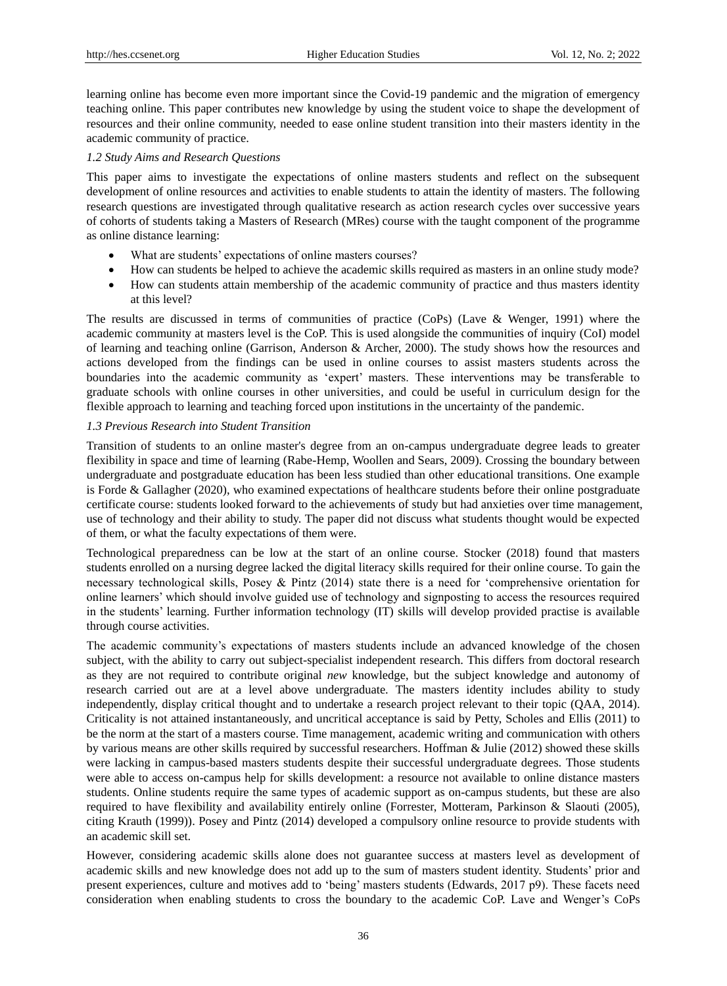learning online has become even more important since the Covid-19 pandemic and the migration of emergency teaching online. This paper contributes new knowledge by using the student voice to shape the development of resources and their online community, needed to ease online student transition into their masters identity in the academic community of practice.

## *1.2 Study Aims and Research Questions*

This paper aims to investigate the expectations of online masters students and reflect on the subsequent development of online resources and activities to enable students to attain the identity of masters. The following research questions are investigated through qualitative research as action research cycles over successive years of cohorts of students taking a Masters of Research (MRes) course with the taught component of the programme as online distance learning:

- What are students' expectations of online masters courses?
- How can students be helped to achieve the academic skills required as masters in an online study mode?
- How can students attain membership of the academic community of practice and thus masters identity at this level?

The results are discussed in terms of communities of practice (CoPs) (Lave & Wenger, 1991) where the academic community at masters level is the CoP. This is used alongside the communities of inquiry (CoI) model of learning and teaching online (Garrison, Anderson & Archer, 2000). The study shows how the resources and actions developed from the findings can be used in online courses to assist masters students across the boundaries into the academic community as "expert" masters. These interventions may be transferable to graduate schools with online courses in other universities, and could be useful in curriculum design for the flexible approach to learning and teaching forced upon institutions in the uncertainty of the pandemic.

# *1.3 Previous Research into Student Transition*

Transition of students to an online master's degree from an on-campus undergraduate degree leads to greater flexibility in space and time of learning (Rabe-Hemp, Woollen and Sears, 2009). Crossing the boundary between undergraduate and postgraduate education has been less studied than other educational transitions. One example is Forde & Gallagher (2020), who examined expectations of healthcare students before their online postgraduate certificate course: students looked forward to the achievements of study but had anxieties over time management, use of technology and their ability to study. The paper did not discuss what students thought would be expected of them, or what the faculty expectations of them were.

Technological preparedness can be low at the start of an online course. Stocker (2018) found that masters students enrolled on a nursing degree lacked the digital literacy skills required for their online course. To gain the necessary technological skills, Posey & Pintz (2014) state there is a need for "comprehensive orientation for online learners" which should involve guided use of technology and signposting to access the resources required in the students" learning. Further information technology (IT) skills will develop provided practise is available through course activities.

The academic community's expectations of masters students include an advanced knowledge of the chosen subject, with the ability to carry out subject-specialist independent research. This differs from doctoral research as they are not required to contribute original *new* knowledge, but the subject knowledge and autonomy of research carried out are at a level above undergraduate. The masters identity includes ability to study independently, display critical thought and to undertake a research project relevant to their topic (QAA, 2014). Criticality is not attained instantaneously, and uncritical acceptance is said by Petty, Scholes and Ellis (2011) to be the norm at the start of a masters course. Time management, academic writing and communication with others by various means are other skills required by successful researchers. Hoffman & Julie (2012) showed these skills were lacking in campus-based masters students despite their successful undergraduate degrees. Those students were able to access on-campus help for skills development: a resource not available to online distance masters students. Online students require the same types of academic support as on-campus students, but these are also required to have flexibility and availability entirely online (Forrester, Motteram, Parkinson & Slaouti (2005), citing Krauth (1999)). Posey and Pintz (2014) developed a compulsory online resource to provide students with an academic skill set.

However, considering academic skills alone does not guarantee success at masters level as development of academic skills and new knowledge does not add up to the sum of masters student identity. Students" prior and present experiences, culture and motives add to "being" masters students (Edwards, 2017 p9). These facets need consideration when enabling students to cross the boundary to the academic CoP. Lave and Wenger"s CoPs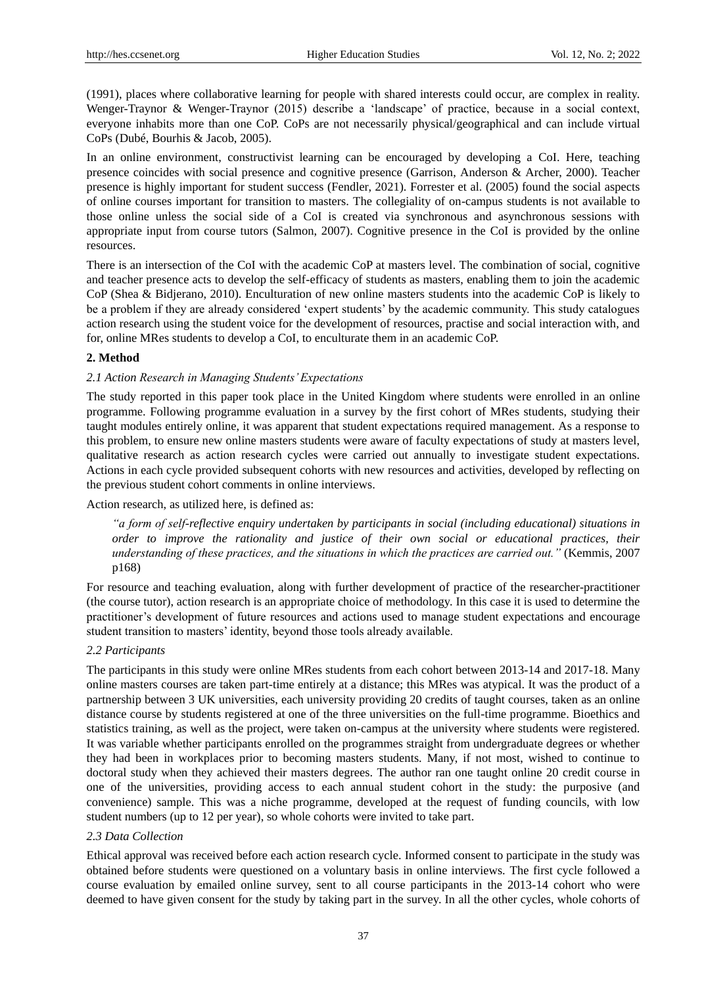(1991), places where collaborative learning for people with shared interests could occur, are complex in reality. Wenger-Traynor & Wenger-Traynor (2015) describe a "landscape" of practice, because in a social context, everyone inhabits more than one CoP. CoPs are not necessarily physical/geographical and can include virtual CoPs (Dubé, Bourhis & Jacob, 2005).

In an online environment, constructivist learning can be encouraged by developing a CoI. Here, teaching presence coincides with social presence and cognitive presence (Garrison, Anderson & Archer, 2000). Teacher presence is highly important for student success (Fendler, 2021). Forrester et al. (2005) found the social aspects of online courses important for transition to masters. The collegiality of on-campus students is not available to those online unless the social side of a CoI is created via synchronous and asynchronous sessions with appropriate input from course tutors (Salmon, 2007). Cognitive presence in the CoI is provided by the online resources.

There is an intersection of the CoI with the academic CoP at masters level. The combination of social, cognitive and teacher presence acts to develop the self-efficacy of students as masters, enabling them to join the academic CoP (Shea & Bidjerano, 2010). Enculturation of new online masters students into the academic CoP is likely to be a problem if they are already considered "expert students" by the academic community. This study catalogues action research using the student voice for the development of resources, practise and social interaction with, and for, online MRes students to develop a CoI, to enculturate them in an academic CoP.

## **2. Method**

## *2.1 Action Research in Managing Students' Expectations*

The study reported in this paper took place in the United Kingdom where students were enrolled in an online programme. Following programme evaluation in a survey by the first cohort of MRes students, studying their taught modules entirely online, it was apparent that student expectations required management. As a response to this problem, to ensure new online masters students were aware of faculty expectations of study at masters level, qualitative research as action research cycles were carried out annually to investigate student expectations. Actions in each cycle provided subsequent cohorts with new resources and activities, developed by reflecting on the previous student cohort comments in online interviews.

## Action research, as utilized here, is defined as:

*"a form of self-reflective enquiry undertaken by participants in social (including educational) situations in order to improve the rationality and justice of their own social or educational practices, their understanding of these practices, and the situations in which the practices are carried out."* (Kemmis, 2007 p168)

For resource and teaching evaluation, along with further development of practice of the researcher-practitioner (the course tutor), action research is an appropriate choice of methodology. In this case it is used to determine the practitioner"s development of future resources and actions used to manage student expectations and encourage student transition to masters' identity, beyond those tools already available.

## *2.2 Participants*

The participants in this study were online MRes students from each cohort between 2013-14 and 2017-18. Many online masters courses are taken part-time entirely at a distance; this MRes was atypical. It was the product of a partnership between 3 UK universities, each university providing 20 credits of taught courses, taken as an online distance course by students registered at one of the three universities on the full-time programme. Bioethics and statistics training, as well as the project, were taken on-campus at the university where students were registered. It was variable whether participants enrolled on the programmes straight from undergraduate degrees or whether they had been in workplaces prior to becoming masters students. Many, if not most, wished to continue to doctoral study when they achieved their masters degrees. The author ran one taught online 20 credit course in one of the universities, providing access to each annual student cohort in the study: the purposive (and convenience) sample. This was a niche programme, developed at the request of funding councils, with low student numbers (up to 12 per year), so whole cohorts were invited to take part.

## *2.3 Data Collection*

Ethical approval was received before each action research cycle. Informed consent to participate in the study was obtained before students were questioned on a voluntary basis in online interviews. The first cycle followed a course evaluation by emailed online survey, sent to all course participants in the 2013-14 cohort who were deemed to have given consent for the study by taking part in the survey. In all the other cycles, whole cohorts of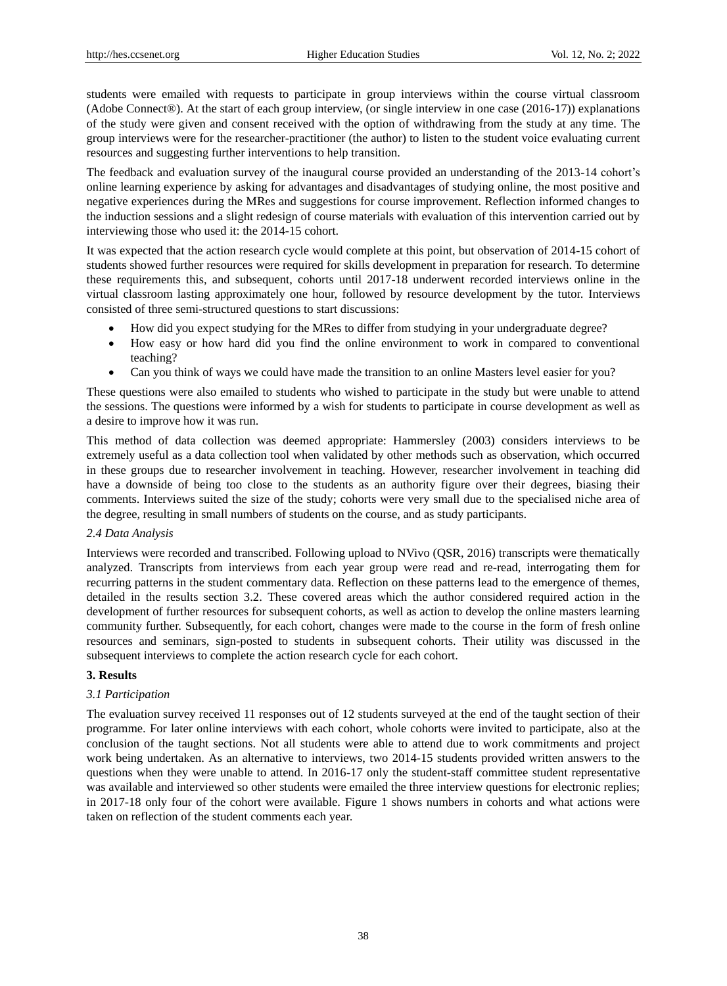students were emailed with requests to participate in group interviews within the course virtual classroom (Adobe Connect®). At the start of each group interview, (or single interview in one case (2016-17)) explanations of the study were given and consent received with the option of withdrawing from the study at any time. The group interviews were for the researcher-practitioner (the author) to listen to the student voice evaluating current resources and suggesting further interventions to help transition.

The feedback and evaluation survey of the inaugural course provided an understanding of the 2013-14 cohort"s online learning experience by asking for advantages and disadvantages of studying online, the most positive and negative experiences during the MRes and suggestions for course improvement. Reflection informed changes to the induction sessions and a slight redesign of course materials with evaluation of this intervention carried out by interviewing those who used it: the 2014-15 cohort.

It was expected that the action research cycle would complete at this point, but observation of 2014-15 cohort of students showed further resources were required for skills development in preparation for research. To determine these requirements this, and subsequent, cohorts until 2017-18 underwent recorded interviews online in the virtual classroom lasting approximately one hour, followed by resource development by the tutor. Interviews consisted of three semi-structured questions to start discussions:

- How did you expect studying for the MRes to differ from studying in your undergraduate degree?
- How easy or how hard did you find the online environment to work in compared to conventional teaching?
- Can you think of ways we could have made the transition to an online Masters level easier for you?

These questions were also emailed to students who wished to participate in the study but were unable to attend the sessions. The questions were informed by a wish for students to participate in course development as well as a desire to improve how it was run.

This method of data collection was deemed appropriate: Hammersley (2003) considers interviews to be extremely useful as a data collection tool when validated by other methods such as observation, which occurred in these groups due to researcher involvement in teaching. However, researcher involvement in teaching did have a downside of being too close to the students as an authority figure over their degrees, biasing their comments. Interviews suited the size of the study; cohorts were very small due to the specialised niche area of the degree, resulting in small numbers of students on the course, and as study participants.

## *2.4 Data Analysis*

Interviews were recorded and transcribed. Following upload to NVivo (QSR, 2016) transcripts were thematically analyzed. Transcripts from interviews from each year group were read and re-read, interrogating them for recurring patterns in the student commentary data. Reflection on these patterns lead to the emergence of themes, detailed in the results section 3.2. These covered areas which the author considered required action in the development of further resources for subsequent cohorts, as well as action to develop the online masters learning community further. Subsequently, for each cohort, changes were made to the course in the form of fresh online resources and seminars, sign-posted to students in subsequent cohorts. Their utility was discussed in the subsequent interviews to complete the action research cycle for each cohort.

# **3. Results**

## *3.1 Participation*

The evaluation survey received 11 responses out of 12 students surveyed at the end of the taught section of their programme. For later online interviews with each cohort, whole cohorts were invited to participate, also at the conclusion of the taught sections. Not all students were able to attend due to work commitments and project work being undertaken. As an alternative to interviews, two 2014-15 students provided written answers to the questions when they were unable to attend. In 2016-17 only the student-staff committee student representative was available and interviewed so other students were emailed the three interview questions for electronic replies; in 2017-18 only four of the cohort were available. Figure 1 shows numbers in cohorts and what actions were taken on reflection of the student comments each year.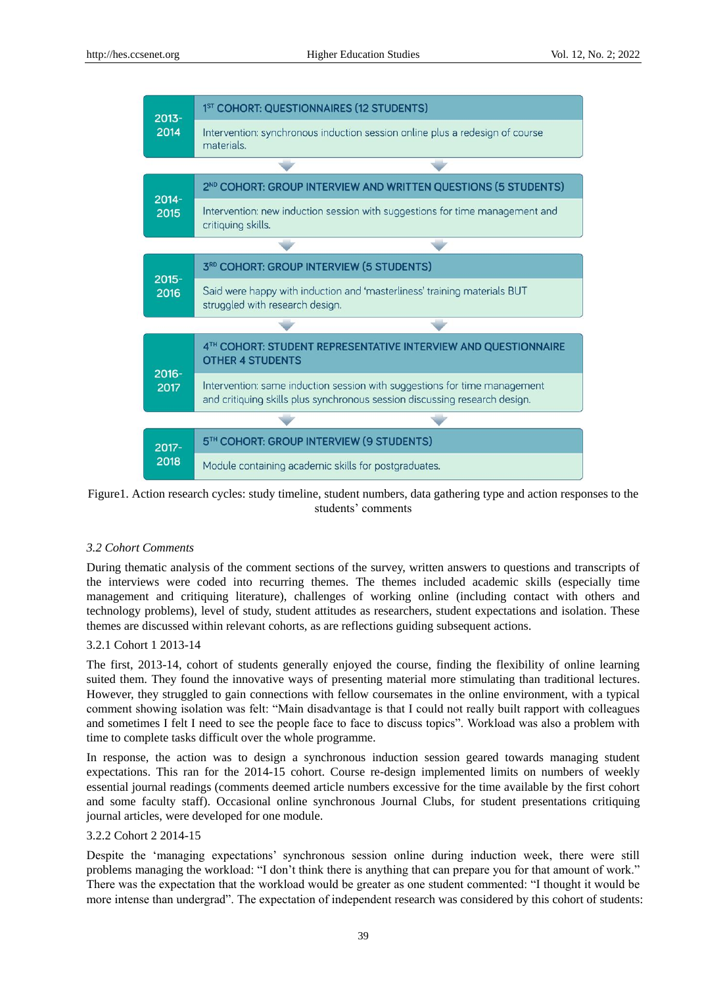

Figure1. Action research cycles: study timeline, student numbers, data gathering type and action responses to the students' comments

## *3.2 Cohort Comments*

During thematic analysis of the comment sections of the survey, written answers to questions and transcripts of the interviews were coded into recurring themes. The themes included academic skills (especially time management and critiquing literature), challenges of working online (including contact with others and technology problems), level of study, student attitudes as researchers, student expectations and isolation. These themes are discussed within relevant cohorts, as are reflections guiding subsequent actions.

## 3.2.1 Cohort 1 2013-14

The first, 2013-14, cohort of students generally enjoyed the course, finding the flexibility of online learning suited them. They found the innovative ways of presenting material more stimulating than traditional lectures. However, they struggled to gain connections with fellow coursemates in the online environment, with a typical comment showing isolation was felt: "Main disadvantage is that I could not really built rapport with colleagues and sometimes I felt I need to see the people face to face to discuss topics". Workload was also a problem with time to complete tasks difficult over the whole programme.

In response, the action was to design a synchronous induction session geared towards managing student expectations. This ran for the 2014-15 cohort. Course re-design implemented limits on numbers of weekly essential journal readings (comments deemed article numbers excessive for the time available by the first cohort and some faculty staff). Occasional online synchronous Journal Clubs, for student presentations critiquing journal articles, were developed for one module.

#### 3.2.2 Cohort 2 2014-15

Despite the "managing expectations" synchronous session online during induction week, there were still problems managing the workload: "I don"t think there is anything that can prepare you for that amount of work." There was the expectation that the workload would be greater as one student commented: "I thought it would be more intense than undergrad". The expectation of independent research was considered by this cohort of students: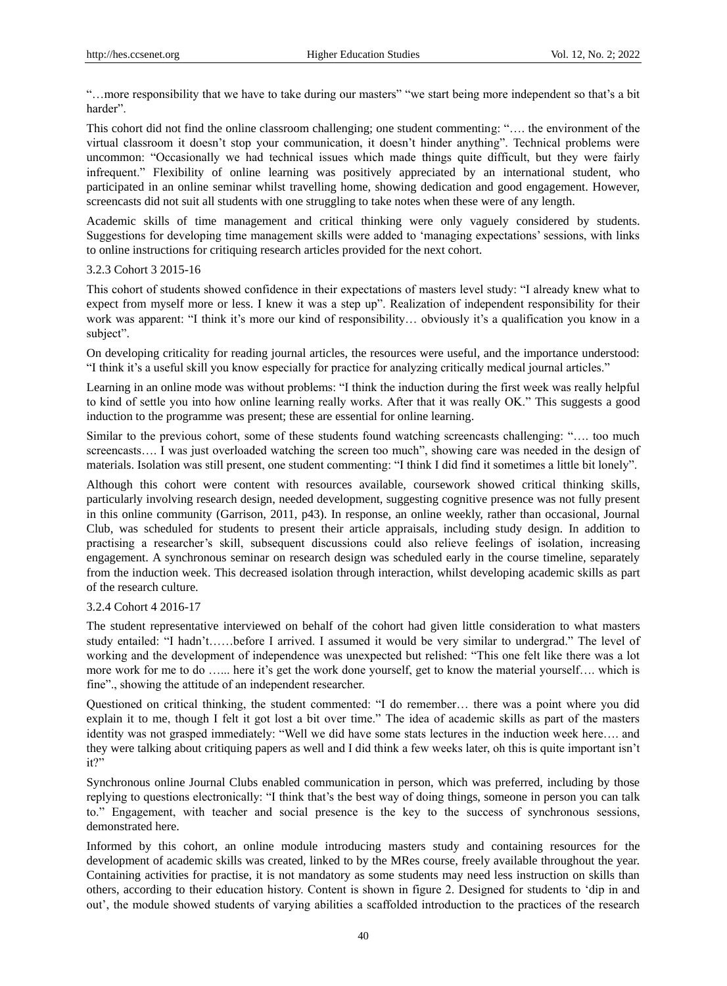"…more responsibility that we have to take during our masters" "we start being more independent so that"s a bit harder".

This cohort did not find the online classroom challenging; one student commenting: "…. the environment of the virtual classroom it doesn"t stop your communication, it doesn"t hinder anything". Technical problems were uncommon: "Occasionally we had technical issues which made things quite difficult, but they were fairly infrequent." Flexibility of online learning was positively appreciated by an international student, who participated in an online seminar whilst travelling home, showing dedication and good engagement. However, screencasts did not suit all students with one struggling to take notes when these were of any length.

Academic skills of time management and critical thinking were only vaguely considered by students. Suggestions for developing time management skills were added to "managing expectations" sessions, with links to online instructions for critiquing research articles provided for the next cohort.

#### 3.2.3 Cohort 3 2015-16

This cohort of students showed confidence in their expectations of masters level study: "I already knew what to expect from myself more or less. I knew it was a step up". Realization of independent responsibility for their work was apparent: "I think it's more our kind of responsibility... obviously it's a qualification you know in a subject".

On developing criticality for reading journal articles, the resources were useful, and the importance understood: "I think it's a useful skill you know especially for practice for analyzing critically medical journal articles."

Learning in an online mode was without problems: "I think the induction during the first week was really helpful to kind of settle you into how online learning really works. After that it was really OK." This suggests a good induction to the programme was present; these are essential for online learning.

Similar to the previous cohort, some of these students found watching screencasts challenging: "…. too much screencasts.... I was just overloaded watching the screen too much", showing care was needed in the design of materials. Isolation was still present, one student commenting: "I think I did find it sometimes a little bit lonely".

Although this cohort were content with resources available, coursework showed critical thinking skills, particularly involving research design, needed development, suggesting cognitive presence was not fully present in this online community (Garrison, 2011, p43). In response, an online weekly, rather than occasional, Journal Club, was scheduled for students to present their article appraisals, including study design. In addition to practising a researcher"s skill, subsequent discussions could also relieve feelings of isolation, increasing engagement. A synchronous seminar on research design was scheduled early in the course timeline, separately from the induction week. This decreased isolation through interaction, whilst developing academic skills as part of the research culture.

## 3.2.4 Cohort 4 2016-17

The student representative interviewed on behalf of the cohort had given little consideration to what masters study entailed: "I hadn"t……before I arrived. I assumed it would be very similar to undergrad." The level of working and the development of independence was unexpected but relished: "This one felt like there was a lot more work for me to do ...... here it's get the work done yourself, get to know the material yourself.... which is fine"., showing the attitude of an independent researcher.

Questioned on critical thinking, the student commented: "I do remember… there was a point where you did explain it to me, though I felt it got lost a bit over time." The idea of academic skills as part of the masters identity was not grasped immediately: "Well we did have some stats lectures in the induction week here…. and they were talking about critiquing papers as well and I did think a few weeks later, oh this is quite important isn"t it?"

Synchronous online Journal Clubs enabled communication in person, which was preferred, including by those replying to questions electronically: "I think that"s the best way of doing things, someone in person you can talk to." Engagement, with teacher and social presence is the key to the success of synchronous sessions, demonstrated here.

Informed by this cohort, an online module introducing masters study and containing resources for the development of academic skills was created, linked to by the MRes course, freely available throughout the year. Containing activities for practise, it is not mandatory as some students may need less instruction on skills than others, according to their education history. Content is shown in figure 2. Designed for students to "dip in and out", the module showed students of varying abilities a scaffolded introduction to the practices of the research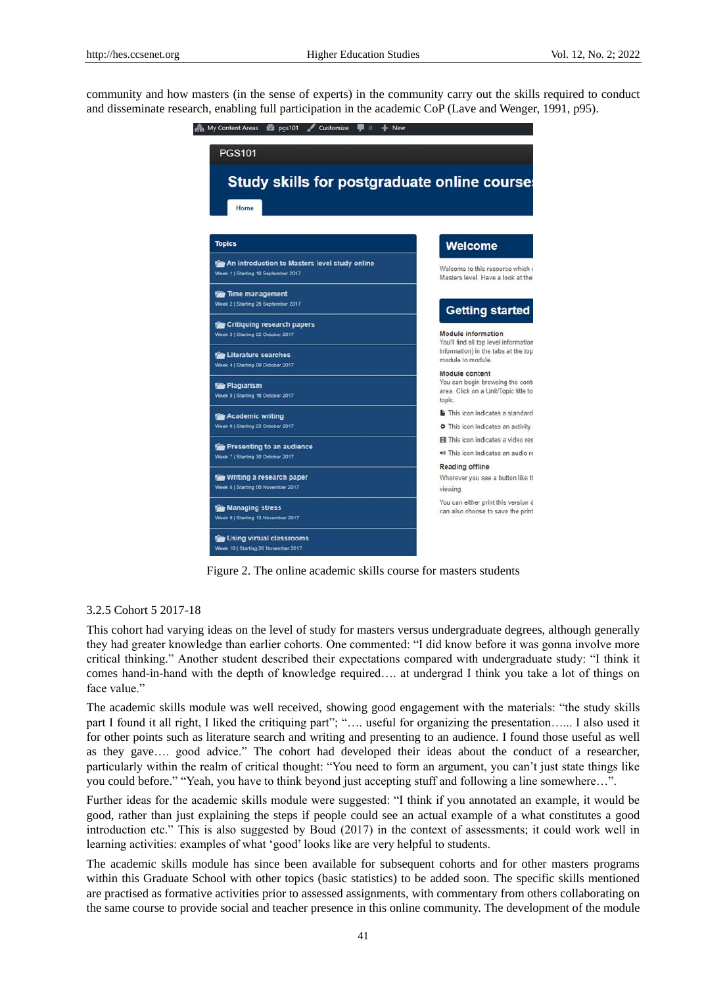community and how masters (in the sense of experts) in the community carry out the skills required to conduct and disseminate research, enabling full participation in the academic CoP (Lave and Wenger, 1991, p95).



Figure 2. The online academic skills course for masters students

# 3.2.5 Cohort 5 2017-18

This cohort had varying ideas on the level of study for masters versus undergraduate degrees, although generally they had greater knowledge than earlier cohorts. One commented: "I did know before it was gonna involve more critical thinking." Another student described their expectations compared with undergraduate study: "I think it comes hand-in-hand with the depth of knowledge required…. at undergrad I think you take a lot of things on face value."

The academic skills module was well received, showing good engagement with the materials: "the study skills part I found it all right, I liked the critiquing part"; "…. useful for organizing the presentation…... I also used it for other points such as literature search and writing and presenting to an audience. I found those useful as well as they gave…. good advice." The cohort had developed their ideas about the conduct of a researcher, particularly within the realm of critical thought: "You need to form an argument, you can"t just state things like you could before." "Yeah, you have to think beyond just accepting stuff and following a line somewhere…".

Further ideas for the academic skills module were suggested: "I think if you annotated an example, it would be good, rather than just explaining the steps if people could see an actual example of a what constitutes a good introduction etc." This is also suggested by Boud (2017) in the context of assessments; it could work well in learning activities: examples of what "good" looks like are very helpful to students.

The academic skills module has since been available for subsequent cohorts and for other masters programs within this Graduate School with other topics (basic statistics) to be added soon. The specific skills mentioned are practised as formative activities prior to assessed assignments, with commentary from others collaborating on the same course to provide social and teacher presence in this online community. The development of the module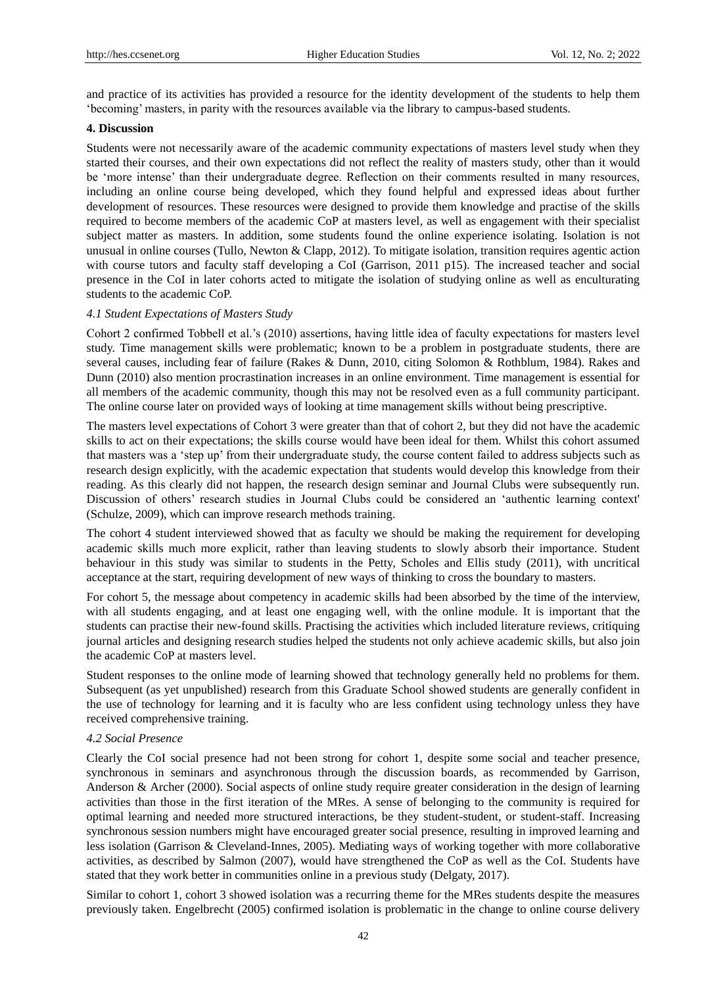and practice of its activities has provided a resource for the identity development of the students to help them "becoming" masters, in parity with the resources available via the library to campus-based students.

### **4. Discussion**

Students were not necessarily aware of the academic community expectations of masters level study when they started their courses, and their own expectations did not reflect the reality of masters study, other than it would be "more intense" than their undergraduate degree. Reflection on their comments resulted in many resources, including an online course being developed, which they found helpful and expressed ideas about further development of resources. These resources were designed to provide them knowledge and practise of the skills required to become members of the academic CoP at masters level, as well as engagement with their specialist subject matter as masters. In addition, some students found the online experience isolating. Isolation is not unusual in online courses (Tullo, Newton & Clapp, 2012). To mitigate isolation, transition requires agentic action with course tutors and faculty staff developing a CoI (Garrison, 2011 p15). The increased teacher and social presence in the CoI in later cohorts acted to mitigate the isolation of studying online as well as enculturating students to the academic CoP.

## *4.1 Student Expectations of Masters Study*

Cohort 2 confirmed Tobbell et al."s (2010) assertions, having little idea of faculty expectations for masters level study. Time management skills were problematic; known to be a problem in postgraduate students, there are several causes, including fear of failure (Rakes & Dunn, 2010, citing Solomon & Rothblum, 1984). Rakes and Dunn (2010) also mention procrastination increases in an online environment. Time management is essential for all members of the academic community, though this may not be resolved even as a full community participant. The online course later on provided ways of looking at time management skills without being prescriptive.

The masters level expectations of Cohort 3 were greater than that of cohort 2, but they did not have the academic skills to act on their expectations; the skills course would have been ideal for them. Whilst this cohort assumed that masters was a "step up" from their undergraduate study, the course content failed to address subjects such as research design explicitly, with the academic expectation that students would develop this knowledge from their reading. As this clearly did not happen, the research design seminar and Journal Clubs were subsequently run. Discussion of others" research studies in Journal Clubs could be considered an "authentic learning context' (Schulze, 2009), which can improve research methods training.

The cohort 4 student interviewed showed that as faculty we should be making the requirement for developing academic skills much more explicit, rather than leaving students to slowly absorb their importance. Student behaviour in this study was similar to students in the Petty, Scholes and Ellis study (2011), with uncritical acceptance at the start, requiring development of new ways of thinking to cross the boundary to masters.

For cohort 5, the message about competency in academic skills had been absorbed by the time of the interview, with all students engaging, and at least one engaging well, with the online module. It is important that the students can practise their new-found skills. Practising the activities which included literature reviews, critiquing journal articles and designing research studies helped the students not only achieve academic skills, but also join the academic CoP at masters level.

Student responses to the online mode of learning showed that technology generally held no problems for them. Subsequent (as yet unpublished) research from this Graduate School showed students are generally confident in the use of technology for learning and it is faculty who are less confident using technology unless they have received comprehensive training.

## *4.2 Social Presence*

Clearly the CoI social presence had not been strong for cohort 1, despite some social and teacher presence, synchronous in seminars and asynchronous through the discussion boards, as recommended by Garrison, Anderson & Archer (2000). Social aspects of online study require greater consideration in the design of learning activities than those in the first iteration of the MRes. A sense of belonging to the community is required for optimal learning and needed more structured interactions, be they student-student, or student-staff. Increasing synchronous session numbers might have encouraged greater social presence, resulting in improved learning and less isolation (Garrison & Cleveland-Innes, 2005). Mediating ways of working together with more collaborative activities, as described by Salmon (2007), would have strengthened the CoP as well as the CoI. Students have stated that they work better in communities online in a previous study (Delgaty, 2017).

Similar to cohort 1, cohort 3 showed isolation was a recurring theme for the MRes students despite the measures previously taken. Engelbrecht (2005) confirmed isolation is problematic in the change to online course delivery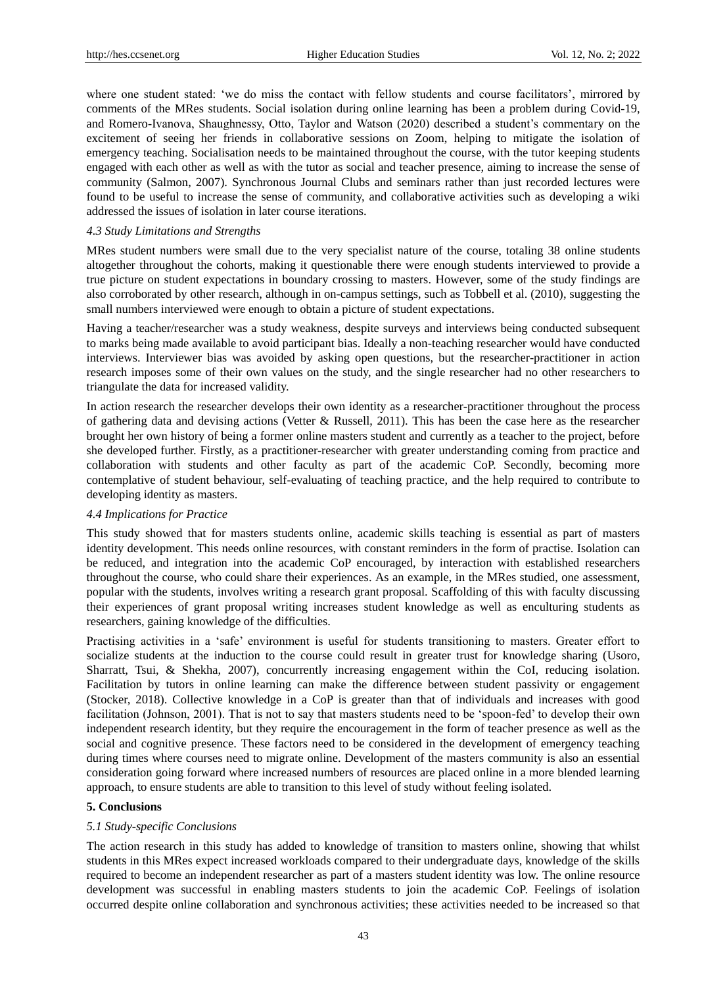where one student stated: 'we do miss the contact with fellow students and course facilitators', mirrored by comments of the MRes students. Social isolation during online learning has been a problem during Covid-19, and Romero-Ivanova, Shaughnessy, Otto, Taylor and Watson (2020) described a student"s commentary on the excitement of seeing her friends in collaborative sessions on Zoom, helping to mitigate the isolation of emergency teaching. Socialisation needs to be maintained throughout the course, with the tutor keeping students engaged with each other as well as with the tutor as social and teacher presence, aiming to increase the sense of community (Salmon, 2007). Synchronous Journal Clubs and seminars rather than just recorded lectures were found to be useful to increase the sense of community, and collaborative activities such as developing a wiki addressed the issues of isolation in later course iterations.

#### *4.3 Study Limitations and Strengths*

MRes student numbers were small due to the very specialist nature of the course, totaling 38 online students altogether throughout the cohorts, making it questionable there were enough students interviewed to provide a true picture on student expectations in boundary crossing to masters. However, some of the study findings are also corroborated by other research, although in on-campus settings, such as Tobbell et al. (2010), suggesting the small numbers interviewed were enough to obtain a picture of student expectations.

Having a teacher/researcher was a study weakness, despite surveys and interviews being conducted subsequent to marks being made available to avoid participant bias. Ideally a non-teaching researcher would have conducted interviews. Interviewer bias was avoided by asking open questions, but the researcher-practitioner in action research imposes some of their own values on the study, and the single researcher had no other researchers to triangulate the data for increased validity.

In action research the researcher develops their own identity as a researcher-practitioner throughout the process of gathering data and devising actions (Vetter & Russell, 2011). This has been the case here as the researcher brought her own history of being a former online masters student and currently as a teacher to the project, before she developed further. Firstly, as a practitioner-researcher with greater understanding coming from practice and collaboration with students and other faculty as part of the academic CoP. Secondly, becoming more contemplative of student behaviour, self-evaluating of teaching practice, and the help required to contribute to developing identity as masters.

## *4.4 Implications for Practice*

This study showed that for masters students online, academic skills teaching is essential as part of masters identity development. This needs online resources, with constant reminders in the form of practise. Isolation can be reduced, and integration into the academic CoP encouraged, by interaction with established researchers throughout the course, who could share their experiences. As an example, in the MRes studied, one assessment, popular with the students, involves writing a research grant proposal. Scaffolding of this with faculty discussing their experiences of grant proposal writing increases student knowledge as well as enculturing students as researchers, gaining knowledge of the difficulties.

Practising activities in a "safe" environment is useful for students transitioning to masters. Greater effort to socialize students at the induction to the course could result in greater trust for knowledge sharing (Usoro, Sharratt, Tsui, & Shekha, 2007), concurrently increasing engagement within the CoI, reducing isolation. Facilitation by tutors in online learning can make the difference between student passivity or engagement (Stocker, 2018). Collective knowledge in a CoP is greater than that of individuals and increases with good facilitation (Johnson, 2001). That is not to say that masters students need to be "spoon-fed" to develop their own independent research identity, but they require the encouragement in the form of teacher presence as well as the social and cognitive presence. These factors need to be considered in the development of emergency teaching during times where courses need to migrate online. Development of the masters community is also an essential consideration going forward where increased numbers of resources are placed online in a more blended learning approach, to ensure students are able to transition to this level of study without feeling isolated.

## **5. Conclusions**

## *5.1 Study-specific Conclusions*

The action research in this study has added to knowledge of transition to masters online, showing that whilst students in this MRes expect increased workloads compared to their undergraduate days, knowledge of the skills required to become an independent researcher as part of a masters student identity was low. The online resource development was successful in enabling masters students to join the academic CoP. Feelings of isolation occurred despite online collaboration and synchronous activities; these activities needed to be increased so that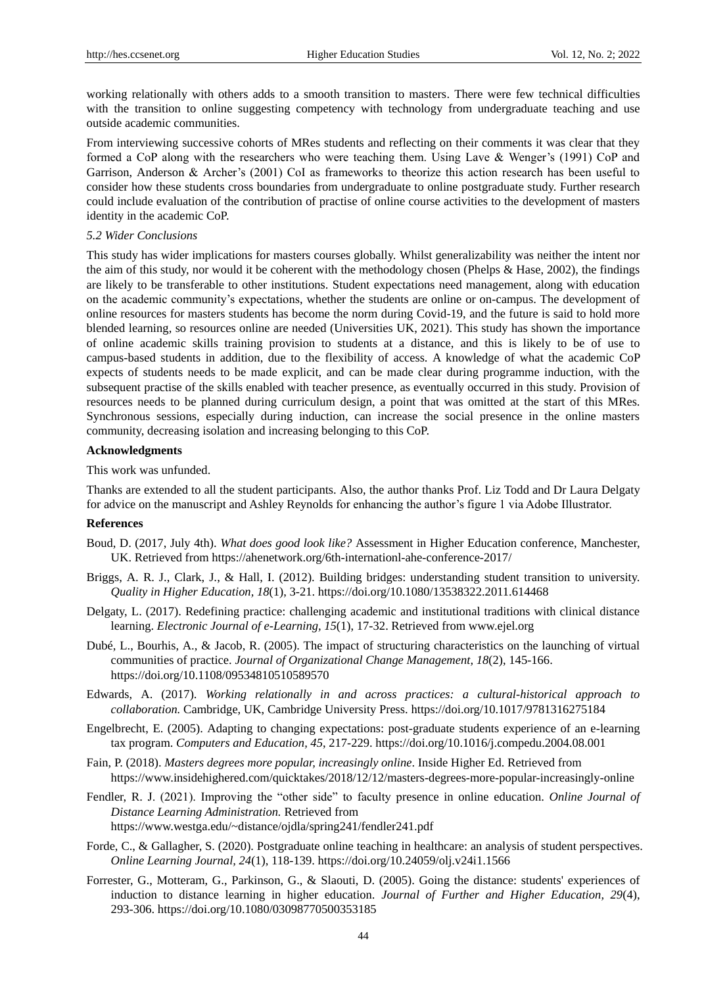working relationally with others adds to a smooth transition to masters. There were few technical difficulties with the transition to online suggesting competency with technology from undergraduate teaching and use outside academic communities.

From interviewing successive cohorts of MRes students and reflecting on their comments it was clear that they formed a CoP along with the researchers who were teaching them. Using Lave & Wenger"s (1991) CoP and Garrison, Anderson & Archer's (2001) CoI as frameworks to theorize this action research has been useful to consider how these students cross boundaries from undergraduate to online postgraduate study. Further research could include evaluation of the contribution of practise of online course activities to the development of masters identity in the academic CoP.

#### *5.2 Wider Conclusions*

This study has wider implications for masters courses globally. Whilst generalizability was neither the intent nor the aim of this study, nor would it be coherent with the methodology chosen (Phelps & Hase, 2002), the findings are likely to be transferable to other institutions. Student expectations need management, along with education on the academic community"s expectations, whether the students are online or on-campus. The development of online resources for masters students has become the norm during Covid-19, and the future is said to hold more blended learning, so resources online are needed (Universities UK, 2021). This study has shown the importance of online academic skills training provision to students at a distance, and this is likely to be of use to campus-based students in addition, due to the flexibility of access. A knowledge of what the academic CoP expects of students needs to be made explicit, and can be made clear during programme induction, with the subsequent practise of the skills enabled with teacher presence, as eventually occurred in this study. Provision of resources needs to be planned during curriculum design, a point that was omitted at the start of this MRes. Synchronous sessions, especially during induction, can increase the social presence in the online masters community, decreasing isolation and increasing belonging to this CoP.

## **Acknowledgments**

This work was unfunded.

Thanks are extended to all the student participants. Also, the author thanks Prof. Liz Todd and Dr Laura Delgaty for advice on the manuscript and Ashley Reynolds for enhancing the author"s figure 1 via Adobe Illustrator.

#### **References**

- Boud, D. (2017, July 4th). *What does good look like?* Assessment in Higher Education conference, Manchester, UK. Retrieved from https://ahenetwork.org/6th-internationl-ahe-conference-2017/
- Briggs, A. R. J., Clark, J., & Hall, I. (2012). Building bridges: understanding student transition to university. *Quality in Higher Education, 18*(1), 3-21. https://doi.org/10.1080/13538322.2011.614468
- Delgaty, L. (2017). Redefining practice: challenging academic and institutional traditions with clinical distance learning. *Electronic Journal of e-Learning, 15*(1), 17-32. Retrieved from www.ejel.org
- Dubé, L., Bourhis, A., & Jacob, R. (2005). The impact of structuring characteristics on the launching of virtual communities of practice. *Journal of Organizational Change Management, 18*(2), 145-166. https://doi.org/10.1108/09534810510589570
- Edwards, A. (2017). *Working relationally in and across practices: a cultural-historical approach to collaboration.* Cambridge, UK, Cambridge University Press. https://doi.org/10.1017/9781316275184
- Engelbrecht, E. (2005). Adapting to changing expectations: post-graduate students experience of an e-learning tax program. *Computers and Education, 45*, 217-229. https://doi.org/10.1016/j.compedu.2004.08.001
- Fain, P. (2018). *Masters degrees more popular, increasingly online*. Inside Higher Ed. Retrieved from https://www.insidehighered.com/quicktakes/2018/12/12/masters-degrees-more-popular-increasingly-online
- Fendler, R. J. (2021). Improving the "other side" to faculty presence in online education. *Online Journal of Distance Learning Administration.* Retrieved from https://www.westga.edu/~distance/ojdla/spring241/fendler241.pdf
- Forde, C., & Gallagher, S. (2020). Postgraduate online teaching in healthcare: an analysis of student perspectives. *Online Learning Journal, 24*(1), 118-139. https://doi.org/10.24059/olj.v24i1.1566
- Forrester, G., Motteram, G., Parkinson, G., & Slaouti, D. (2005). Going the distance: students' experiences of induction to distance learning in higher education. *Journal of Further and Higher Education, 29*(4), 293-306. https://doi.org/10.1080/03098770500353185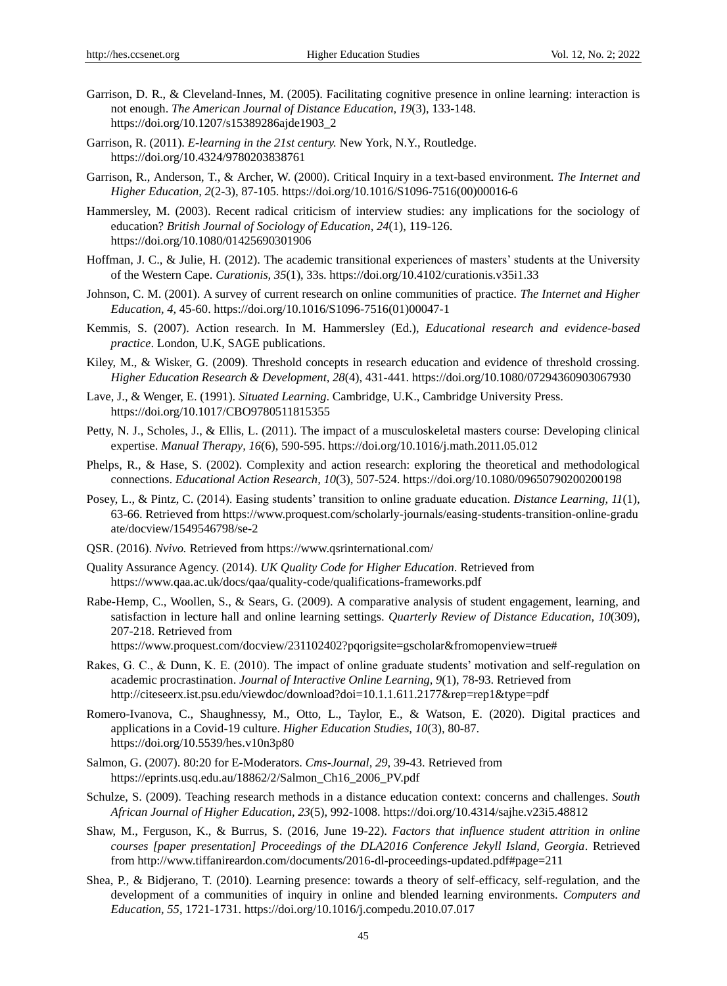- Garrison, D. R., & Cleveland-Innes, M. (2005). Facilitating cognitive presence in online learning: interaction is not enough. *The American Journal of Distance Education, 19*(3), 133-148. https://doi.org/10.1207/s15389286ajde1903\_2
- Garrison, R. (2011). *E-learning in the 21st century.* New York, N.Y., Routledge. https://doi.org/10.4324/9780203838761
- Garrison, R., Anderson, T., & Archer, W. (2000). Critical Inquiry in a text-based environment. *The Internet and Higher Education, 2*(2-3), 87-105. https://doi.org/10.1016/S1096-7516(00)00016-6
- Hammersley, M. (2003). Recent radical criticism of interview studies: any implications for the sociology of education? *British Journal of Sociology of Education, 24*(1), 119-126. https://doi.org/10.1080/01425690301906
- Hoffman, J. C., & Julie, H. (2012). The academic transitional experiences of masters' students at the University of the Western Cape. *Curationis, 35*(1), 33s. https://doi.org/10.4102/curationis.v35i1.33
- Johnson, C. M. (2001). A survey of current research on online communities of practice. *The Internet and Higher Education, 4,* 45-60. https://doi.org/10.1016/S1096-7516(01)00047-1
- Kemmis, S. (2007). Action research. In M. Hammersley (Ed.), *Educational research and evidence-based practice*. London, U.K, SAGE publications.
- Kiley, M., & Wisker, G. (2009). Threshold concepts in research education and evidence of threshold crossing. *Higher Education Research & Development, 28*(4), 431-441. https://doi.org/10.1080/07294360903067930
- Lave, J., & Wenger, E. (1991). *Situated Learning*. Cambridge, U.K., Cambridge University Press. https://doi.org/10.1017/CBO9780511815355
- Petty, N. J., Scholes, J., & Ellis, L. (2011). The impact of a musculoskeletal masters course: Developing clinical expertise. *Manual Therapy, 16*(6), 590-595. https://doi.org/10.1016/j.math.2011.05.012
- Phelps, R., & Hase, S. (2002). Complexity and action research: exploring the theoretical and methodological connections. *Educational Action Research, 10*(3), 507-524. https://doi.org/10.1080/09650790200200198
- Posey, L., & Pintz, C. (2014). Easing students" transition to online graduate education. *Distance Learning, 11*(1), 63-66. Retrieved from https://www.proquest.com/scholarly-journals/easing-students-transition-online-gradu ate/docview/1549546798/se-2
- QSR. (2016). *Nvivo.* Retrieved from https://www.qsrinternational.com/
- Quality Assurance Agency. (2014). *UK Quality Code for Higher Education*. Retrieved from https://www.qaa.ac.uk/docs/qaa/quality-code/qualifications-frameworks.pdf
- Rabe-Hemp, C., Woollen, S., & Sears, G. (2009). A comparative analysis of student engagement, learning, and satisfaction in lecture hall and online learning settings. *Quarterly Review of Distance Education, 10*(309), 207-218. Retrieved from

https://www.proquest.com/docview/231102402?pqorigsite=gscholar&fromopenview=true#

- Rakes, G. C., & Dunn, K. E. (2010). The impact of online graduate students' motivation and self-regulation on academic procrastination. *Journal of Interactive Online Learning, 9*(1), 78-93. Retrieved from http://citeseerx.ist.psu.edu/viewdoc/download?doi=10.1.1.611.2177&rep=rep1&type=pdf
- Romero-Ivanova, C., Shaughnessy, M., Otto, L., Taylor, E., & Watson, E. (2020). Digital practices and applications in a Covid-19 culture. *Higher Education Studies, 10*(3), 80-87. https://doi.org/10.5539/hes.v10n3p80
- Salmon, G. (2007). 80:20 for E-Moderators. *Cms-Journal, 29*, 39-43. Retrieved from https://eprints.usq.edu.au/18862/2/Salmon\_Ch16\_2006\_PV.pdf
- Schulze, S. (2009). Teaching research methods in a distance education context: concerns and challenges. *South African Journal of Higher Education, 23*(5), 992-1008. https://doi.org/10.4314/sajhe.v23i5.48812
- Shaw, M., Ferguson, K., & Burrus, S. (2016, June 19-22). *Factors that influence student attrition in online courses [paper presentation] Proceedings of the DLA2016 Conference Jekyll Island, Georgia*. Retrieved from http://www.tiffanireardon.com/documents/2016-dl-proceedings-updated.pdf#page=211
- Shea, P., & Bidjerano, T. (2010). Learning presence: towards a theory of self-efficacy, self-regulation, and the development of a communities of inquiry in online and blended learning environments. *Computers and Education, 55*, 1721-1731. https://doi.org/10.1016/j.compedu.2010.07.017